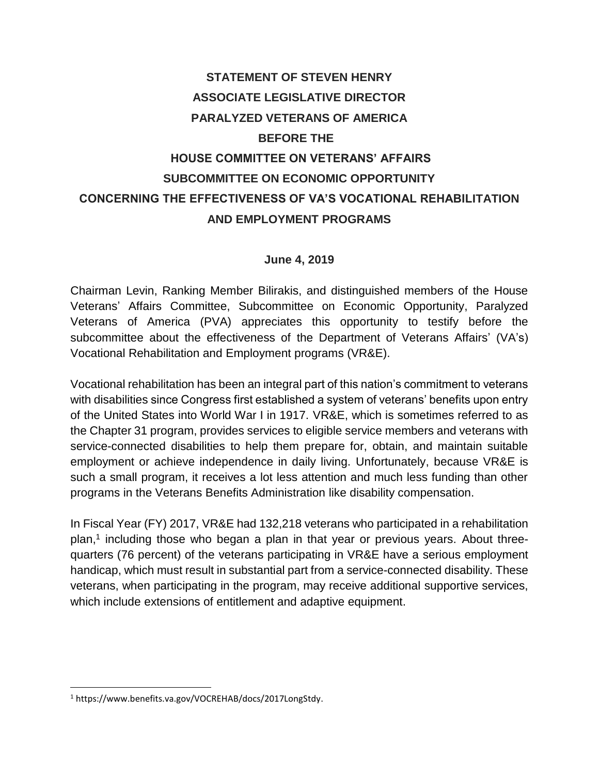# **STATEMENT OF STEVEN HENRY ASSOCIATE LEGISLATIVE DIRECTOR PARALYZED VETERANS OF AMERICA BEFORE THE HOUSE COMMITTEE ON VETERANS' AFFAIRS SUBCOMMITTEE ON ECONOMIC OPPORTUNITY CONCERNING THE EFFECTIVENESS OF VA'S VOCATIONAL REHABILITATION AND EMPLOYMENT PROGRAMS**

#### **June 4, 2019**

Chairman Levin, Ranking Member Bilirakis, and distinguished members of the House Veterans' Affairs Committee, Subcommittee on Economic Opportunity, Paralyzed Veterans of America (PVA) appreciates this opportunity to testify before the subcommittee about the effectiveness of the Department of Veterans Affairs' (VA's) Vocational Rehabilitation and Employment programs (VR&E).

Vocational rehabilitation has been an integral part of this nation's commitment to veterans with disabilities since Congress first established a system of veterans' benefits upon entry of the United States into World War I in 1917. VR&E, which is sometimes referred to as the Chapter 31 program, provides services to eligible service members and veterans with service-connected disabilities to help them prepare for, obtain, and maintain suitable employment or achieve independence in daily living. Unfortunately, because VR&E is such a small program, it receives a lot less attention and much less funding than other programs in the Veterans Benefits Administration like disability compensation.

In Fiscal Year (FY) 2017, VR&E had 132,218 veterans who participated in a rehabilitation plan,<sup>1</sup> including those who began a plan in that year or previous years. About threequarters (76 percent) of the veterans participating in VR&E have a serious employment handicap, which must result in substantial part from a service-connected disability. These veterans, when participating in the program, may receive additional supportive services, which include extensions of entitlement and adaptive equipment.

 $\overline{\phantom{a}}$ 

<sup>1</sup> https://www.benefits.va.gov/VOCREHAB/docs/2017LongStdy.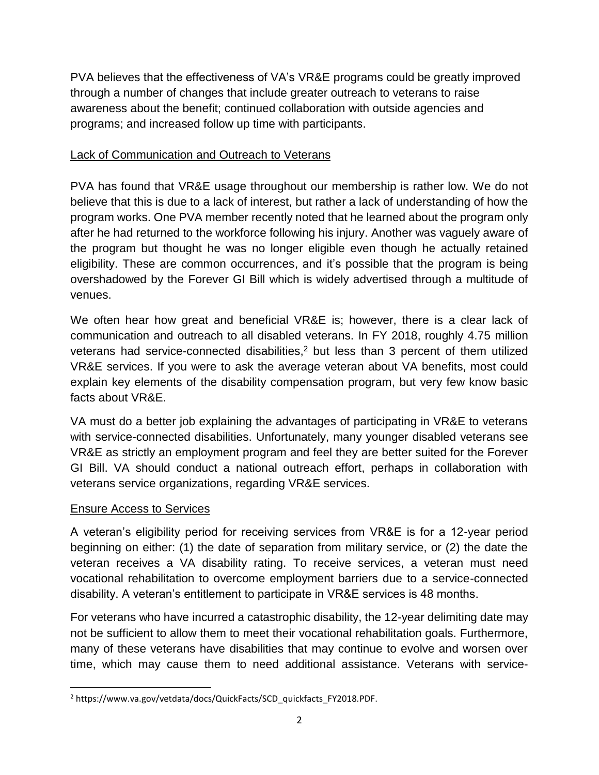PVA believes that the effectiveness of VA's VR&E programs could be greatly improved through a number of changes that include greater outreach to veterans to raise awareness about the benefit; continued collaboration with outside agencies and programs; and increased follow up time with participants.

#### **Lack of Communication and Outreach to Veterans**

PVA has found that VR&E usage throughout our membership is rather low. We do not believe that this is due to a lack of interest, but rather a lack of understanding of how the program works. One PVA member recently noted that he learned about the program only after he had returned to the workforce following his injury. Another was vaguely aware of the program but thought he was no longer eligible even though he actually retained eligibility. These are common occurrences, and it's possible that the program is being overshadowed by the Forever GI Bill which is widely advertised through a multitude of venues.

We often hear how great and beneficial VR&E is; however, there is a clear lack of communication and outreach to all disabled veterans. In FY 2018, roughly 4.75 million veterans had service-connected disabilities,<sup>2</sup> but less than 3 percent of them utilized VR&E services. If you were to ask the average veteran about VA benefits, most could explain key elements of the disability compensation program, but very few know basic facts about VR&E.

VA must do a better job explaining the advantages of participating in VR&E to veterans with service-connected disabilities. Unfortunately, many younger disabled veterans see VR&E as strictly an employment program and feel they are better suited for the Forever GI Bill. VA should conduct a national outreach effort, perhaps in collaboration with veterans service organizations, regarding VR&E services.

#### Ensure Access to Services

 $\overline{\phantom{a}}$ 

A veteran's eligibility period for receiving services from VR&E is for a 12-year period beginning on either: (1) the date of separation from military service, or (2) the date the veteran receives a VA disability rating. To receive services, a veteran must need vocational rehabilitation to overcome employment barriers due to a service-connected disability. A veteran's entitlement to participate in VR&E services is 48 months.

For veterans who have incurred a catastrophic disability, the 12-year delimiting date may not be sufficient to allow them to meet their vocational rehabilitation goals. Furthermore, many of these veterans have disabilities that may continue to evolve and worsen over time, which may cause them to need additional assistance. Veterans with service-

<sup>2</sup> https://www.va.gov/vetdata/docs/QuickFacts/SCD\_quickfacts\_FY2018*.*PDF.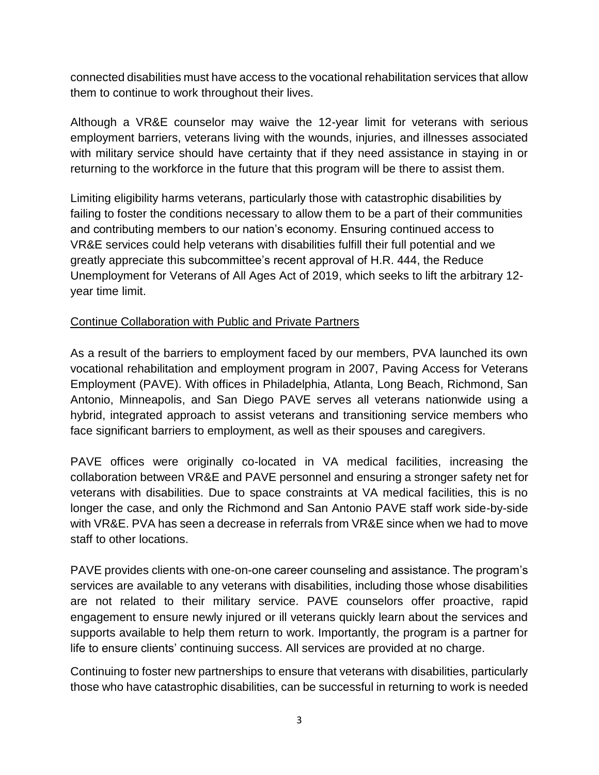connected disabilities must have access to the vocational rehabilitation services that allow them to continue to work throughout their lives.

Although a VR&E counselor may waive the 12-year limit for veterans with serious employment barriers, veterans living with the wounds, injuries, and illnesses associated with military service should have certainty that if they need assistance in staying in or returning to the workforce in the future that this program will be there to assist them.

Limiting eligibility harms veterans, particularly those with catastrophic disabilities by failing to foster the conditions necessary to allow them to be a part of their communities and contributing members to our nation's economy. Ensuring continued access to VR&E services could help veterans with disabilities fulfill their full potential and we greatly appreciate this subcommittee's recent approval of H.R. 444, the Reduce Unemployment for Veterans of All Ages Act of 2019, which seeks to lift the arbitrary 12 year time limit.

## Continue Collaboration with Public and Private Partners

As a result of the barriers to employment faced by our members, PVA launched its own vocational rehabilitation and employment program in 2007, Paving Access for Veterans Employment (PAVE). With offices in Philadelphia, Atlanta, Long Beach, Richmond, San Antonio, Minneapolis, and San Diego PAVE serves all veterans nationwide using a hybrid, integrated approach to assist veterans and transitioning service members who face significant barriers to employment, as well as their spouses and caregivers.

PAVE offices were originally co-located in VA medical facilities, increasing the collaboration between VR&E and PAVE personnel and ensuring a stronger safety net for veterans with disabilities. Due to space constraints at VA medical facilities, this is no longer the case, and only the Richmond and San Antonio PAVE staff work side-by-side with VR&E. PVA has seen a decrease in referrals from VR&E since when we had to move staff to other locations.

PAVE provides clients with one-on-one career counseling and assistance. The program's services are available to any veterans with disabilities, including those whose disabilities are not related to their military service. PAVE counselors offer proactive, rapid engagement to ensure newly injured or ill veterans quickly learn about the services and supports available to help them return to work. Importantly, the program is a partner for life to ensure clients' continuing success. All services are provided at no charge.

Continuing to foster new partnerships to ensure that veterans with disabilities, particularly those who have catastrophic disabilities, can be successful in returning to work is needed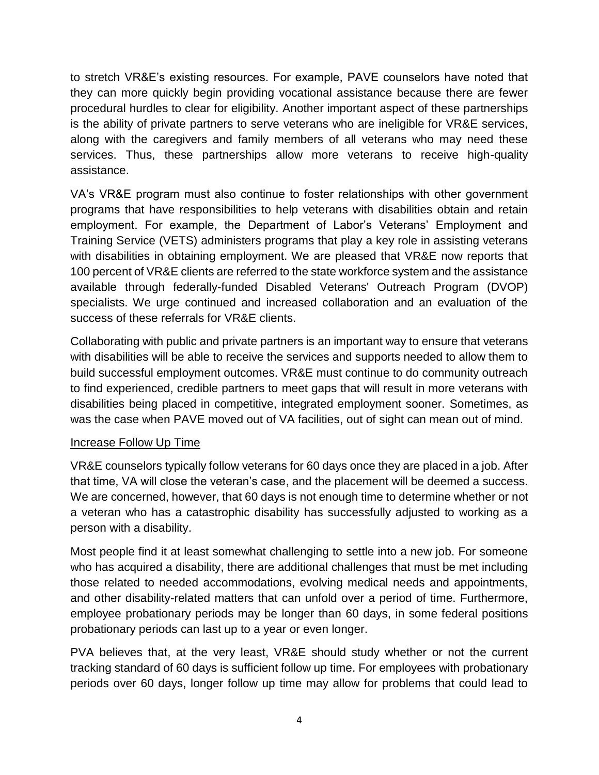to stretch VR&E's existing resources. For example, PAVE counselors have noted that they can more quickly begin providing vocational assistance because there are fewer procedural hurdles to clear for eligibility. Another important aspect of these partnerships is the ability of private partners to serve veterans who are ineligible for VR&E services, along with the caregivers and family members of all veterans who may need these services. Thus, these partnerships allow more veterans to receive high-quality assistance.

VA's VR&E program must also continue to foster relationships with other government programs that have responsibilities to help veterans with disabilities obtain and retain employment. For example, the Department of Labor's Veterans' Employment and Training Service (VETS) administers programs that play a key role in assisting veterans with disabilities in obtaining employment. We are pleased that VR&E now reports that 100 percent of VR&E clients are referred to the state workforce system and the assistance available through federally-funded Disabled Veterans' Outreach Program (DVOP) specialists. We urge continued and increased collaboration and an evaluation of the success of these referrals for VR&E clients.

Collaborating with public and private partners is an important way to ensure that veterans with disabilities will be able to receive the services and supports needed to allow them to build successful employment outcomes. VR&E must continue to do community outreach to find experienced, credible partners to meet gaps that will result in more veterans with disabilities being placed in competitive, integrated employment sooner. Sometimes, as was the case when PAVE moved out of VA facilities, out of sight can mean out of mind.

#### Increase Follow Up Time

VR&E counselors typically follow veterans for 60 days once they are placed in a job. After that time, VA will close the veteran's case, and the placement will be deemed a success. We are concerned, however, that 60 days is not enough time to determine whether or not a veteran who has a catastrophic disability has successfully adjusted to working as a person with a disability.

Most people find it at least somewhat challenging to settle into a new job. For someone who has acquired a disability, there are additional challenges that must be met including those related to needed accommodations, evolving medical needs and appointments, and other disability-related matters that can unfold over a period of time. Furthermore, employee probationary periods may be longer than 60 days, in some federal positions probationary periods can last up to a year or even longer.

PVA believes that, at the very least, VR&E should study whether or not the current tracking standard of 60 days is sufficient follow up time. For employees with probationary periods over 60 days, longer follow up time may allow for problems that could lead to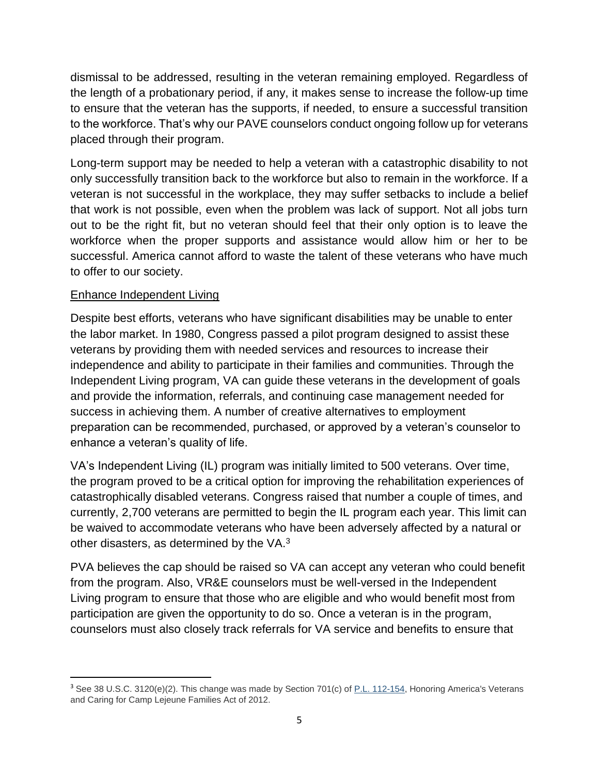dismissal to be addressed, resulting in the veteran remaining employed. Regardless of the length of a probationary period, if any, it makes sense to increase the follow-up time to ensure that the veteran has the supports, if needed, to ensure a successful transition to the workforce. That's why our PAVE counselors conduct ongoing follow up for veterans placed through their program.

Long-term support may be needed to help a veteran with a catastrophic disability to not only successfully transition back to the workforce but also to remain in the workforce. If a veteran is not successful in the workplace, they may suffer setbacks to include a belief that work is not possible, even when the problem was lack of support. Not all jobs turn out to be the right fit, but no veteran should feel that their only option is to leave the workforce when the proper supports and assistance would allow him or her to be successful. America cannot afford to waste the talent of these veterans who have much to offer to our society.

#### Enhance Independent Living

 $\overline{\phantom{a}}$ 

Despite best efforts, veterans who have significant disabilities may be unable to enter the labor market. In 1980, Congress passed a pilot program designed to assist these veterans by providing them with needed services and resources to increase their independence and ability to participate in their families and communities. Through the Independent Living program, VA can guide these veterans in the development of goals and provide the information, referrals, and continuing case management needed for success in achieving them. A number of creative alternatives to employment preparation can be recommended, purchased, or approved by a veteran's counselor to enhance a veteran's quality of life.

VA's Independent Living (IL) program was initially limited to 500 veterans. Over time, the program proved to be a critical option for improving the rehabilitation experiences of catastrophically disabled veterans. Congress raised that number a couple of times, and currently, 2,700 veterans are permitted to begin the IL program each year. This limit can be waived to accommodate veterans who have been adversely affected by a natural or other disasters, as determined by the VA.<sup>3</sup>

PVA believes the cap should be raised so VA can accept any veteran who could benefit from the program. Also, VR&E counselors must be well-versed in the Independent Living program to ensure that those who are eligible and who would benefit most from participation are given the opportunity to do so. Once a veteran is in the program, counselors must also closely track referrals for VA service and benefits to ensure that

<sup>&</sup>lt;sup>3</sup> See 38 U.S.C. 3120(e)(2). This change was made by Section 701(c) of [P.L. 112-154,](http://www.congress.gov/cgi-lis/bdquery/R?d112:FLD002:@1(112+154)) Honoring America's Veterans and Caring for Camp Lejeune Families Act of 2012.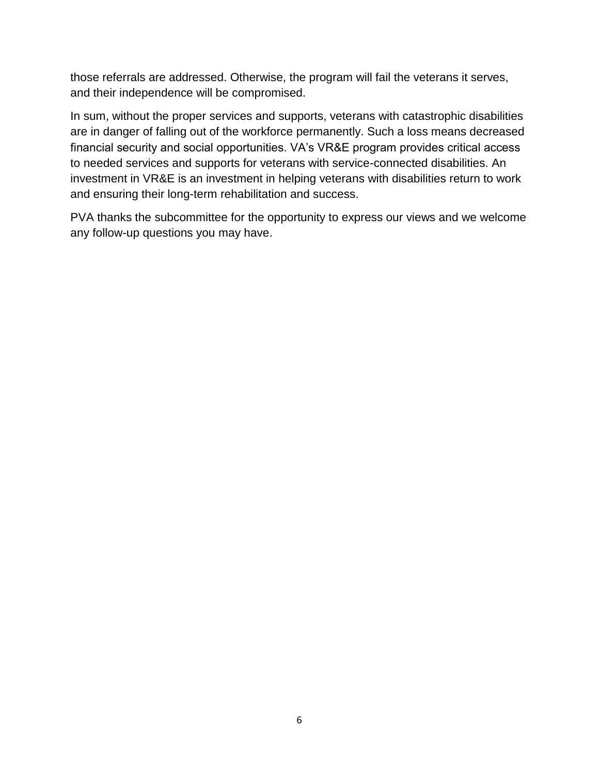those referrals are addressed. Otherwise, the program will fail the veterans it serves, and their independence will be compromised.

In sum, without the proper services and supports, veterans with catastrophic disabilities are in danger of falling out of the workforce permanently. Such a loss means decreased financial security and social opportunities. VA's VR&E program provides critical access to needed services and supports for veterans with service-connected disabilities. An investment in VR&E is an investment in helping veterans with disabilities return to work and ensuring their long-term rehabilitation and success.

PVA thanks the subcommittee for the opportunity to express our views and we welcome any follow-up questions you may have.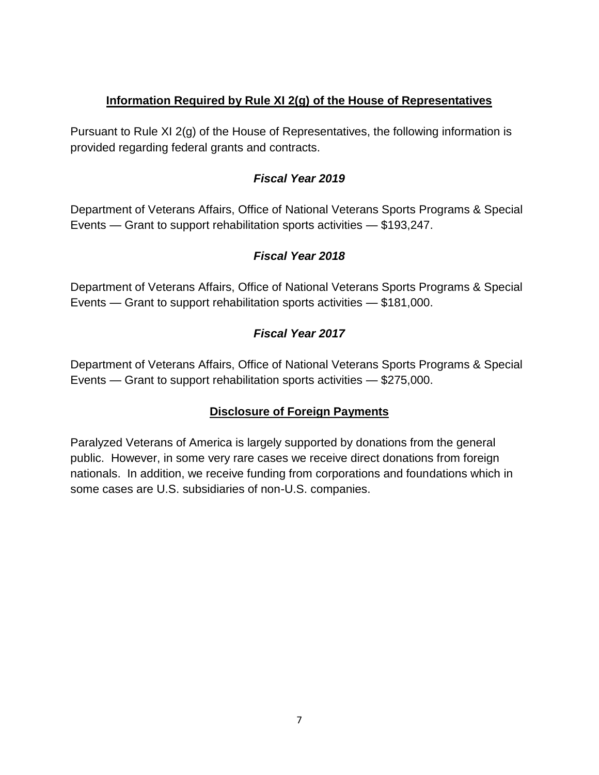## **Information Required by Rule XI 2(g) of the House of Representatives**

Pursuant to Rule XI 2(g) of the House of Representatives, the following information is provided regarding federal grants and contracts.

## *Fiscal Year 2019*

Department of Veterans Affairs, Office of National Veterans Sports Programs & Special Events — Grant to support rehabilitation sports activities — \$193,247.

# *Fiscal Year 2018*

Department of Veterans Affairs, Office of National Veterans Sports Programs & Special Events — Grant to support rehabilitation sports activities — \$181,000.

# *Fiscal Year 2017*

Department of Veterans Affairs, Office of National Veterans Sports Programs & Special Events — Grant to support rehabilitation sports activities — \$275,000.

# **Disclosure of Foreign Payments**

Paralyzed Veterans of America is largely supported by donations from the general public. However, in some very rare cases we receive direct donations from foreign nationals. In addition, we receive funding from corporations and foundations which in some cases are U.S. subsidiaries of non-U.S. companies.